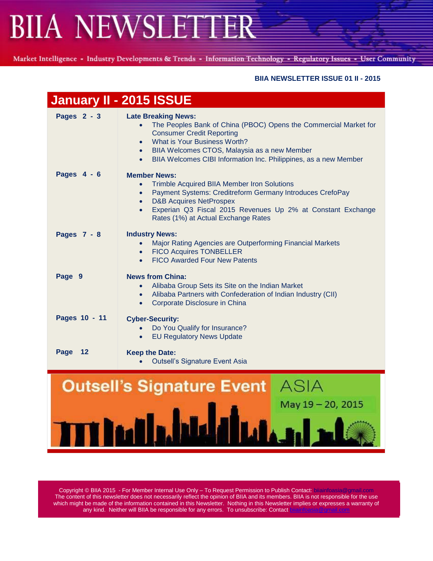Market Intelligence - Industry Developments & Trends - Information Technology - Regulatory Issues - User Community

### **BIIA NEWSLETTER ISSUE 01 II - 2015**

|               | January II - 2015 ISSUE                                                                                                                                                                                                                                                                                                   |  |  |
|---------------|---------------------------------------------------------------------------------------------------------------------------------------------------------------------------------------------------------------------------------------------------------------------------------------------------------------------------|--|--|
| Pages 2 - 3   | <b>Late Breaking News:</b><br>The Peoples Bank of China (PBOC) Opens the Commercial Market for<br><b>Consumer Credit Reporting</b><br>• What is Your Business Worth?<br>BIIA Welcomes CTOS, Malaysia as a new Member<br>$\bullet$<br>BIIA Welcomes CIBI Information Inc. Philippines, as a new Member                     |  |  |
| Pages 4 - 6   | <b>Member News:</b><br><b>Trimble Acquired BIIA Member Iron Solutions</b><br>$\bullet$<br>Payment Systems: Creditreform Germany Introduces CrefoPay<br>$\bullet$<br><b>D&amp;B Acquires NetProspex</b><br>Experian Q3 Fiscal 2015 Revenues Up 2% at Constant Exchange<br>$\bullet$<br>Rates (1%) at Actual Exchange Rates |  |  |
| Pages 7 - 8   | <b>Industry News:</b><br>Major Rating Agencies are Outperforming Financial Markets<br>$\bullet$<br><b>FICO Acquires TONBELLER</b><br>$\bullet$<br><b>FICO Awarded Four New Patents</b><br>$\bullet$                                                                                                                       |  |  |
| Page 9        | <b>News from China:</b><br>Alibaba Group Sets its Site on the Indian Market<br>Alibaba Partners with Confederation of Indian Industry (CII)<br>$\bullet$<br>Corporate Disclosure in China<br>$\bullet$                                                                                                                    |  |  |
| Pages 10 - 11 | <b>Cyber-Security:</b><br>Do You Qualify for Insurance?<br>$\bullet$<br><b>EU Regulatory News Update</b>                                                                                                                                                                                                                  |  |  |
| Page 12       | <b>Keep the Date:</b><br><b>Outsell's Signature Event Asia</b>                                                                                                                                                                                                                                                            |  |  |
|               | <b>Outsell's Signature Event</b> ASIA<br>May 19 - 20, 2015                                                                                                                                                                                                                                                                |  |  |

Copyright © BIIA 2015 - For Member Internal Use Only – To Request Permission to Publish Contact: biiainfoasia@gmail.com The content of this newsletter does not necessarily reflect the opinion of BIIA and its members. BIIA is not responsible for the use which might be made of the information contained in this Newsletter. Nothing in this Newsletter implies or expresses a warranty of any kind. Neither will BIIA be responsible for any errors. To unsubscribe: Contact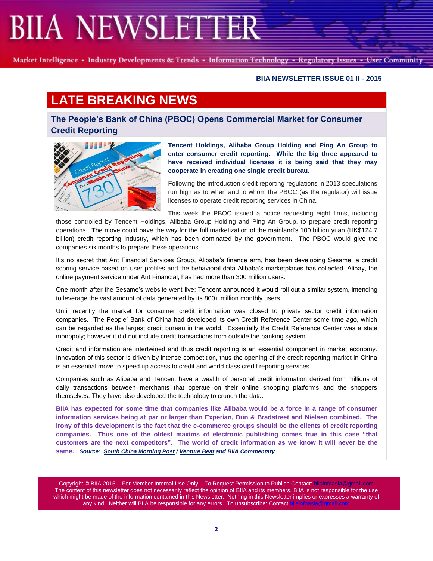Market Intelligence - Industry Developments & Trends - Information Technology - Regulatory Issues - User Community

#### **BIIA NEWSLETTER ISSUE 01 II - 2015**

## **LATE BREAKING NEWS**

**The People's Bank of China (PBOC) Opens Commercial Market for Consumer Credit Reporting**



**Tencent Holdings, Alibaba Group Holding and Ping An Group to enter consumer credit reporting. While the big three appeared to have received individual licenses it is being said that they may cooperate in creating one single credit bureau.**

Following the introduction credit reporting regulations in 2013 speculations run high as to when and to whom the PBOC (as the regulator) will issue licenses to operate credit reporting services in China.

This week the PBOC issued a notice requesting eight firms, including

those controlled by Tencent Holdings, Alibaba Group Holding and Ping An Group, to prepare credit reporting operations. The move could pave the way for the full marketization of the mainland's 100 billion yuan (HK\$124.7 billion) credit reporting industry, which has been dominated by the government. The PBOC would give the companies six months to prepare these operations.

It's no secret that Ant Financial Services Group, Alibaba's finance arm, has been developing Sesame, a credit scoring service based on user profiles and the behavioral data Alibaba's marketplaces has collected. Alipay, the online payment service under Ant Financial, has had more than 300 million users.

One month after the Sesame's website went live; Tencent announced it would roll out a similar system, intending to leverage the vast amount of data generated by its 800+ million monthly users.

Until recently the market for consumer credit information was closed to private sector credit information companies. The People' Bank of China had developed its own Credit Reference Center some time ago, which can be regarded as the largest credit bureau in the world. Essentially the Credit Reference Center was a state monopoly; however it did not include credit transactions from outside the banking system.

Credit and information are intertwined and thus credit reporting is an essential component in market economy. Innovation of this sector is driven by intense competition, thus the opening of the credit reporting market in China is an essential move to speed up access to credit and world class credit reporting services.

Companies such as Alibaba and Tencent have a wealth of personal credit information derived from millions of daily transactions between merchants that operate on their online shopping platforms and the shoppers themselves. They have also developed the technology to crunch the data.

**BIIA has expected for some time that companies like Alibaba would be a force in a range of consumer information services being at par or larger than Experian, Dun & Bradstreet and Nielsen combined. The irony of this development is the fact that the e-commerce groups should be the clients of credit reporting companies. Thus one of the oldest maxims of electronic publishing comes true in this case "that customers are the next competitors". The world of credit information as we know it will never be the same.** *Source: [South China Morning Post](http://www.scmp.com/business/companies/article/1675957/pboc-gives-licenses-alibaba-tencent-and-ping-run-credit-data) [/ Venture Beat](http://venturebeat.com/2015/01/06/alibaba-and-tencent-to-launch-consumer-credit-rating-services/) and BIIA Commentary*

Copyright © BIIA 2015 - For Member Internal Use Only - To Request Permission to Publish Contact: bilainfoa The content of this newsletter does not necessarily reflect the opinion of BIIA and its members. BIIA is not responsible for the use which might be made of the information contained in this Newsletter. Nothing in this Newsletter implies or expresses a warranty of any kind. Neither will BIIA be responsible for any errors. To unsubscribe: Contact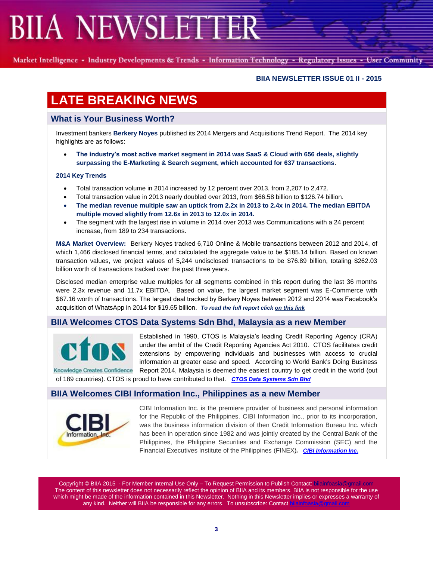Market Intelligence - Industry Developments & Trends - Information Technology - Regulatory Issues - User Community

#### **BIIA NEWSLETTER ISSUE 01 II - 2015**

## **LATE BREAKING NEWS**

### **What is Your Business Worth?**

Investment bankers **Berkery Noyes** published its 2014 Mergers and Acquisitions Trend Report. The 2014 key highlights are as follows:

 **The industry's most active market segment in 2014 was SaaS & Cloud with 656 deals, slightly surpassing the E-Marketing & Search segment, which accounted for 637 transactions**.

#### **2014 Key Trends**

- Total transaction volume in 2014 increased by 12 percent over 2013, from 2,207 to 2,472.
- Total transaction value in 2013 nearly doubled over 2013, from \$66.58 billion to \$126.74 billion.
- **The median revenue multiple saw an uptick from 2.2x in 2013 to 2.4x in 2014. The median EBITDA multiple moved slightly from 12.6x in 2013 to 12.0x in 2014.**
- The segment with the largest rise in volume in 2014 over 2013 was Communications with a 24 percent increase, from 189 to 234 transactions.

**M&A Market Overview:** Berkery Noyes tracked 6,710 Online & Mobile transactions between 2012 and 2014, of which 1,466 disclosed financial terms, and calculated the aggregate value to be \$185.14 billion. Based on known transaction values, we project values of 5,244 undisclosed transactions to be \$76.89 billion, totaling \$262.03 billion worth of transactions tracked over the past three years.

Disclosed median enterprise value multiples for all segments combined in this report during the last 36 months were 2.3x revenue and 11.7x EBITDA. Based on value, the largest market segment was E-Commerce with \$67.16 worth of transactions. The largest deal tracked by Berkery Noyes between 2012 and 2014 was Facebook's acquisition of WhatsApp in 2014 for \$19.65 billion. *To read the full report clic[k on this link](file:///C:/Users/Joachin/Documents/BerkeryNoyes/OnlineFY2014.pdf)*

### **BIIA Welcomes CTOS Data Systems Sdn Bhd, Malaysia as a new Member**



Knowledge Creates Confidence

Established in 1990, CTOS is Malaysia's leading Credit Reporting Agency (CRA) under the ambit of the Credit Reporting Agencies Act 2010. CTOS facilitates credit extensions by empowering individuals and businesses with access to crucial information at greater ease and speed. According to World Bank's Doing Business Report 2014, Malaysia is deemed the easiest country to get credit in the world (out

of 189 countries). CTOS is proud to have contributed to that. *[CTOS Data Systems Sdn Bhd](http://www.ctos.com.my/CTOSHOME/index.html/)*

### **BIIA Welcomes CIBI Information Inc., Philippines as a new Member**



CIBI Information Inc. is the premiere provider of business and personal information for the Republic of the Philippines. CIBI Information Inc., prior to its incorporation, was the business information division of then Credit Information Bureau Inc. which has been in operation since 1982 and was jointly created by the Central Bank of the Philippines, the Philippine Securities and Exchange Commission (SEC) and the Financial Executives Institute of the Philippines (FINEX)*. [CIBI Information Inc.](http://www.cibi.com.ph/)*

Copyright © BIIA 2015 - For Member Internal Use Only - To Request Permission to Publish Contact: bilainfoasia The content of this newsletter does not necessarily reflect the opinion of BIIA and its members. BIIA is not responsible for the use which might be made of the information contained in this Newsletter. Nothing in this Newsletter implies or expresses a warranty of any kind. Neither will BIIA be responsible for any errors. To unsubscribe: Contact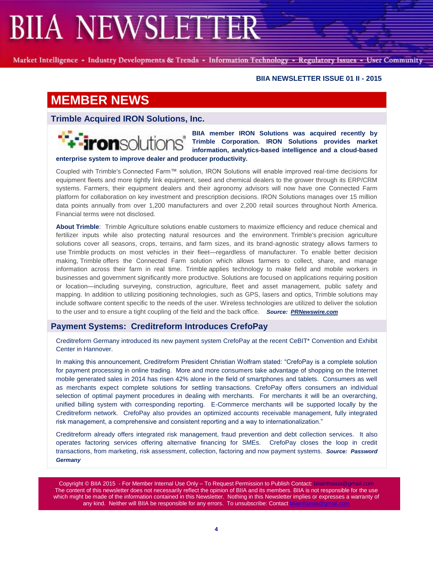Market Intelligence - Industry Developments & Trends - Information Technology - Regulatory Issues - User Community

#### **BIIA NEWSLETTER ISSUE 01 II - 2015**

## **MEMBER NEWS**

**Trimble Acquired IRON Solutions, Inc.**

**enterprise system to improve dealer and producer productivity.** 

**BIIA member IRON Solutions was acquired recently by Trimble Corporation. IRON Solutions provides market information, analytics-based intelligence and a cloud-based** 

Coupled with Trimble's Connected Farm™ solution, IRON Solutions will enable improved real-time decisions for equipment fleets and more tightly link equipment, seed and chemical dealers to the grower through its ERP/CRM systems. Farmers, their equipment dealers and their agronomy advisors will now have one Connected Farm platform for collaboration on key investment and prescription decisions. IRON Solutions manages over 15 million data points annually from over 1,200 manufacturers and over 2,200 retail sources throughout North America. Financial terms were not disclosed.

**About Trimble**: Trimble Agriculture solutions enable customers to maximize efficiency and reduce chemical and fertilizer inputs while also protecting natural resources and the environment. Trimble's precision agriculture solutions cover all seasons, crops, terrains, and farm sizes, and its brand-agnostic strategy allows farmers to use Trimble products on most vehicles in their fleet—regardless of manufacturer. To enable better decision making, Trimble offers the Connected Farm solution which allows farmers to collect, share, and manage information across their farm in real time. Trimble applies technology to make field and mobile workers in businesses and government significantly more productive. Solutions are focused on applications requiring position or location—including surveying, construction, agriculture, fleet and asset management, public safety and mapping. In addition to utilizing positioning technologies, such as GPS, lasers and optics, Trimble solutions may include software content specific to the needs of the user. Wireless technologies are utilized to deliver the solution to the user and to ensure a tight coupling of the field and the back office. *Source: [PRNewswire.com](http://www.prnewswire.com/news-releases/trimble-acquires-iron-solutions-inc-to-broaden-its-connected-farm-solution-for-growers-ag-dealers-and-agronomists-300013369.html)*

#### **Payment Systems: Creditreform Introduces CrefoPay**

Creditreform Germany introduced its new payment system CrefoPay at the recent CeBIT\* Convention and Exhibit Center in Hannover.

In making this announcement, Creditreform President Christian Wolfram stated: "CrefoPay is a complete solution for payment processing in online trading. More and more consumers take advantage of shopping on the Internet mobile generated sales in 2014 has risen 42% alone in the field of smartphones and tablets. Consumers as well as merchants expect complete solutions for settling transactions. CrefoPay offers consumers an individual selection of optimal payment procedures in dealing with merchants. For merchants it will be an overarching, unified billing system with corresponding reporting. E-Commerce merchants will be supported locally by the Creditreform network. CrefoPay also provides an optimized accounts receivable management, fully integrated risk management, a comprehensive and consistent reporting and a way to internationalization."

Creditreform already offers integrated risk management, fraud prevention and debt collection services. It also operates factoring services offering alternative financing for SMEs. CrefoPay closes the loop in credit transactions, from marketing, risk assessment, collection, factoring and now payment systems. *Source: Password Germany*

Copyright © BIIA 2015 - For Member Internal Use Only – To Request Permission to Publish Contact: biiainfoasia The content of this newsletter does not necessarily reflect the opinion of BIIA and its members. BIIA is not responsible for the use which might be made of the information contained in this Newsletter. Nothing in this Newsletter implies or expresses a warranty of any kind. Neither will BIIA be responsible for any errors. To unsubscribe: Contact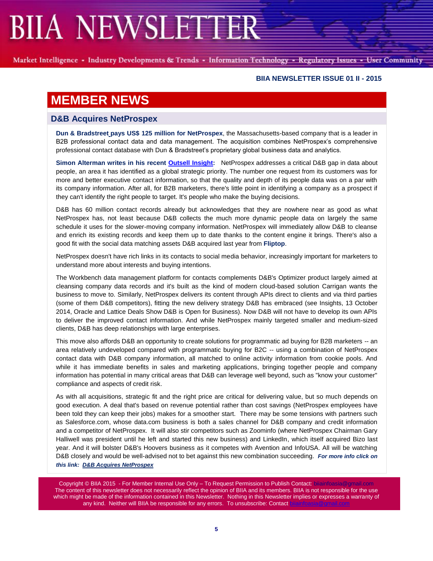Market Intelligence - Industry Developments & Trends - Information Technology - Regulatory Issues - User Community

#### **BIIA NEWSLETTER ISSUE 01 II - 2015**

## **MEMBER NEWS**

### **D&B Acquires NetProspex**

**Dun & Bradstreet pays US\$ 125 million for NetProspex**, the Massachusetts-based company that is a leader in B2B professional contact data and data management. The acquisition combines NetProspex's comprehensive professional contact database with Dun & Bradstreet's proprietary global business data and analytics.

**Simon Alterman writes in his recent [Outsell Insight:](https://clients.outsellinc.com/insights/?p=1223669)** NetProspex addresses a critical D&B gap in data about people, an area it has identified as a global strategic priority. The number one request from its customers was for more and better executive contact information, so that the quality and depth of its people data was on a par with its company information. After all, for B2B marketers, there's little point in identifying a company as a prospect if they can't identify the right people to target. It's people who make the buying decisions.

D&B has 60 million contact records already but acknowledges that they are nowhere near as good as what NetProspex has, not least because D&B collects the much more dynamic people data on largely the same schedule it uses for the slower-moving company information. NetProspex will immediately allow D&B to cleanse and enrich its existing records and keep them up to date thanks to the content engine it brings. There's also a good fit with the social data matching assets D&B acquired last year from **Fliptop**.

NetProspex doesn't have rich links in its contacts to social media behavior, increasingly important for marketers to understand more about interests and buying intentions.

The Workbench data management platform for contacts complements D&B's Optimizer product largely aimed at cleansing company data records and it's built as the kind of modern cloud-based solution Carrigan wants the business to move to. Similarly, NetProspex delivers its content through APIs direct to clients and via third parties (some of them D&B competitors), fitting the new delivery strategy D&B has embraced (see Insights, 13 October 2014, Oracle and Lattice Deals Show D&B is Open for Business). Now D&B will not have to develop its own APIs to deliver the improved contact information. And while NetProspex mainly targeted smaller and medium-sized clients, D&B has deep relationships with large enterprises.

This move also affords D&B an opportunity to create solutions for programmatic ad buying for B2B marketers -- an area relatively undeveloped compared with programmatic buying for B2C -- using a combination of NetProspex contact data with D&B company information, all matched to online activity information from cookie pools. And while it has immediate benefits in sales and marketing applications, bringing together people and company information has potential in many critical areas that D&B can leverage well beyond, such as "know your customer" compliance and aspects of credit risk.

As with all acquisitions, strategic fit and the right price are critical for delivering value, but so much depends on good execution. A deal that's based on revenue potential rather than cost savings (NetProspex employees have been told they can keep their jobs) makes for a smoother start. There may be some tensions with partners such as Salesforce.com, whose data.com business is both a sales channel for D&B company and credit information and a competitor of NetProspex. It will also stir competitors such as Zoominfo (where NetProspex Chairman Gary Halliwell was president until he left and started this new business) and LinkedIn, which itself acquired Bizo last year. And it will bolster D&B's Hoovers business as it competes with Avention and InfoUSA. All will be watching D&B closely and would be well-advised not to bet against this new combination succeeding. *For more info click on this link: [D&B Acquires NetProspex](http://www.biia.com/db-acquires-netprospex-to-deliver-largest-global-reach-and-insight-on-companies-and-the-people-who-run-them-biia-members)*

Copyright © BIIA 2015 - For Member Internal Use Only - To Request Permission to Publish Contact: biiainfoa The content of this newsletter does not necessarily reflect the opinion of BIIA and its members. BIIA is not responsible for the use which might be made of the information contained in this Newsletter. Nothing in this Newsletter implies or expresses a warranty of any kind. Neither will BIIA be responsible for any errors. To unsubscribe: Contact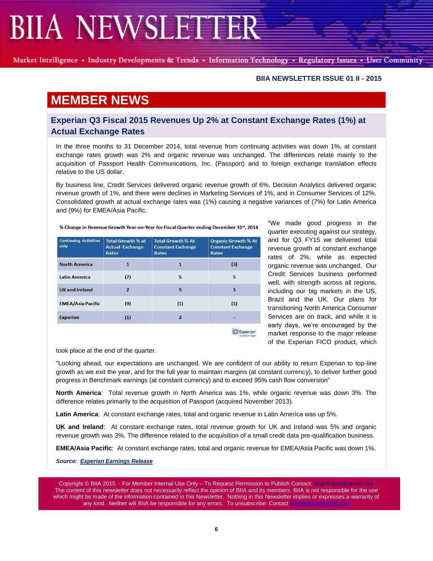Market Intelligence - Industry Developments & Trends - Information Technology - Regulatory Issues - User Community

#### **BIIA NEWSLETTER ISSUE 01 II - 2015**

## **MEMBER NEWS**

### **Experian Q3 Fiscal 2015 Revenues Up 2% at Constant Exchange Rates (1%) at Actual Exchange Rates**

In the three months to 31 December 2014, total revenue from continuing activities was down 1%, at constant exchange rates growth was 2% and organic revenue was unchanged. The differences relate mainly to the acquisition of Passport Health Communications, Inc. (Passport) and to foreign exchange translation effects relative to the US dollar.

By business line, Credit Services delivered organic revenue growth of 6%, Decision Analytics delivered organic revenue growth of 1%, and there were declines in Marketing Services of 1%, and in Consumer Services of 12%. Consolidated growth at actual exchange rates was (1%) causing a negative variances of (7%) for Latin America and (9%) for EMEA/Asia Pacific.

| <b>Continuing Activities</b><br>only | <b>Total Growth % at</b><br><b>Actual Exchange</b><br>Rates | <b>Total Growth % At</b><br><b>Constant Exchange</b><br>Rates | <b>Organic Growth % At</b><br><b>Constant Exchange</b><br>Rates |
|--------------------------------------|-------------------------------------------------------------|---------------------------------------------------------------|-----------------------------------------------------------------|
| <b>North America</b>                 |                                                             |                                                               | (3)                                                             |
| <b>Latin America</b>                 | (7)                                                         | 5                                                             | 5                                                               |
| <b>UK and Ireland</b>                | $\overline{2}$                                              | 5                                                             | $\overline{\mathbf{3}}$                                         |
| <b>EMEA/Asia Pacific</b>             | (9)                                                         | (1)                                                           | (1)                                                             |
| <b>Experian</b>                      | (1)                                                         | $\overline{2}$                                                |                                                                 |
|                                      |                                                             |                                                               | A world of insight                                              |

% Change in Revenue Growth Year-on-Year for Fiscal Quarter ending December 31st, 2014

"We made good progress in the quarter executing against our strategy, and for Q3 FY15 we delivered total revenue growth at constant exchange rates of 2%, while as expected organic revenue was unchanged. Our Credit Services business performed well, with strength across all regions, including our big markets in the US, Brazil and the UK. Our plans for transitioning North America Consumer Services are on track, and while it is early days, we're encouraged by the market response to the major release of the Experian FICO product, which

took place at the end of the quarter.

"Looking ahead, our expectations are unchanged. We are confident of our ability to return Experian to top-line growth as we exit the year, and for the full year to maintain margins (at constant currency), to deliver further good progress in Benchmark earnings (at constant currency) and to exceed 95% cash flow conversion"

**North America**: Total revenue growth in North America was 1%, while organic revenue was down 3%. The difference relates primarily to the acquisition of Passport (acquired November 2013).

**Latin America**: At constant exchange rates, total and organic revenue in Latin America was up 5%.

**UK and Ireland**: At constant exchange rates, total revenue growth for UK and Ireland was 5% and organic revenue growth was 3%. The difference related to the acquisition of a small credit data pre-qualification business.

**EMEA/Asia Pacific**: At constant exchange rates, total and organic revenue for EMEA/Asia Pacific was down 1%.

*Source: [Experian Earnings Release](http://www.experianplc.com/media/news/2015/trading-update-third-quarter/)*

Copyright © BIIA 2015 - For Member Internal Use Only – To Request Permission to Publish Contact: biiainfoasia The content of this newsletter does not necessarily reflect the opinion of BIIA and its members. BIIA is not responsible for the use which might be made of the information contained in this Newsletter. Nothing in this Newsletter implies or expresses a warranty of any kind. Neither will BIIA be responsible for any errors. To unsubscribe: Contact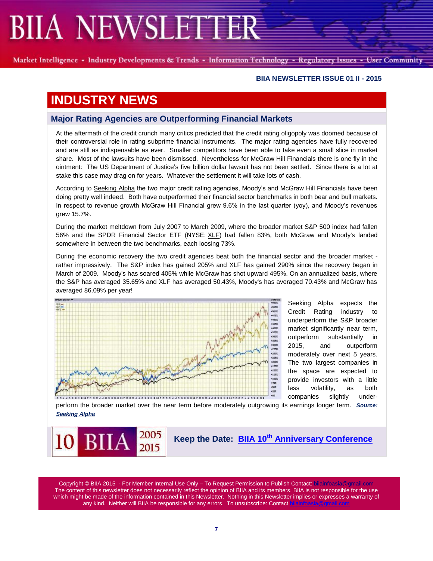Market Intelligence - Industry Developments & Trends - Information Technology - Regulatory Issues - User Community

#### **BIIA NEWSLETTER ISSUE 01 II - 2015**

## **INDUSTRY NEWS**

### **Major Rating Agencies are Outperforming Financial Markets**

At the aftermath of the credit crunch many critics predicted that the credit rating oligopoly was doomed because of their controversial role in rating subprime financial instruments. The major rating agencies have fully recovered and are still as indispensable as ever. Smaller competitors have been able to take even a small slice in market share. Most of the lawsuits have been dismissed. Nevertheless for McGraw Hill Financials there is one fly in the ointment: The US Department of Justice's five billion dollar lawsuit has not been settled. Since there is a lot at stake this case may drag on for years. Whatever the settlement it will take lots of cash.

According to [Seeking Alpha](http://seekingalpha.com/article/2808655-comparing-the-2-largest-credit-rating-companies?uide=637331) the two major credit rating agencies, Moody's and McGraw Hill Financials have been doing pretty well indeed. Both have outperformed their financial sector benchmarks in both bear and bull markets. In respect to revenue growth McGraw Hill Financial grew 9.6% in the last quarter (yoy), and Moody's revenues grew 15.7%.

During the market meltdown from July 2007 to March 2009, where the broader market S&P 500 index had fallen 56% and the SPDR Financial Sector ETF (NYSE: [XLF\)](http://seekingalpha.com/symbol/xlf) had fallen 83%, both McGraw and Moody's landed somewhere in between the two benchmarks, each loosing 73%.

During the economic recovery the two credit agencies beat both the financial sector and the broader market rather impressively. The S&P index has gained 205% and XLF has gained 290% since the recovery began in March of 2009. Moody's has soared 405% while McGraw has shot upward 495%. On an annualized basis, where the S&P has averaged 35.65% and XLF has averaged 50.43%, Moody's has averaged 70.43% and McGraw has averaged 86.09% per year!



Seeking Alpha expects the Credit Rating industry to underperform the S&P broader market significantly near term, outperform substantially in 2015, and outperform moderately over next 5 years. The two largest companies in the space are expected to provide investors with a little less volatility, as both companies slightly under-

perform the broader market over the near term before moderately outgrowing its earnings longer term. *Source: [Seeking Alpha](http://seekingalpha.com/article/2808655-comparing-the-2-largest-credit-rating-companies?uide=637331)*

2005 BH 2015

**Keep the Date: BIIA 10th [Anniversary Conference](http://www.biia.com/biia-10th-anniversary-conference)**

Copyright © BIIA 2015 - For Member Internal Use Only - To Request Permission to Publish Contact: bilainfoasia The content of this newsletter does not necessarily reflect the opinion of BIIA and its members. BIIA is not responsible for the use which might be made of the information contained in this Newsletter. Nothing in this Newsletter implies or expresses a warranty of any kind. Neither will BIIA be responsible for any errors. To unsubscribe: Contact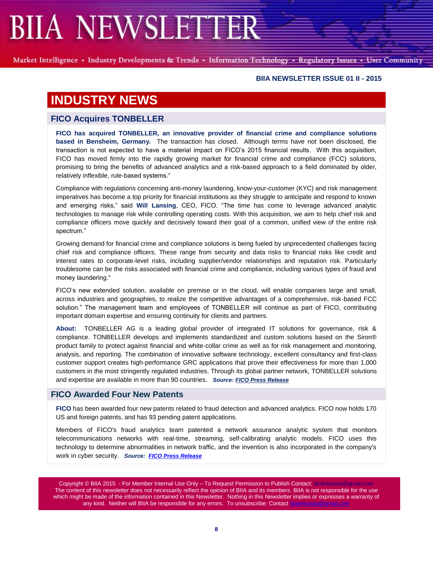Market Intelligence - Industry Developments & Trends - Information Technology - Regulatory Issues - User Community

#### **BIIA NEWSLETTER ISSUE 01 II - 2015**

## **INDUSTRY NEWS**

### **FICO Acquires TONBELLER**

**FICO has acquired TONBELLER, an innovative provider of financial crime and compliance solutions based in Bensheim, Germany.** The transaction has closed. Although terms have not been disclosed, the transaction is not expected to have a material impact on FICO's 2015 financial results. With this acquisition, FICO has moved firmly into the rapidly growing market for financial crime and compliance (FCC) solutions, promising to bring the benefits of advanced analytics and a risk-based approach to a field dominated by older, relatively inflexible, rule-based systems."

Compliance with regulations concerning anti-money laundering, know-your-customer (KYC) and risk management imperatives has become a top priority for financial institutions as they struggle to anticipate and respond to known and emerging risks," said **Will Lansing**, CEO, FICO. "The time has come to leverage advanced analytic technologies to manage risk while controlling operating costs. With this acquisition, we aim to help chief risk and compliance officers move quickly and decisively toward their goal of a common, unified view of the entire risk spectrum."

Growing demand for financial crime and compliance solutions is being fueled by unprecedented challenges facing chief risk and compliance officers. These range from security and data risks to financial risks like credit and interest rates to corporate-level risks, including supplier/vendor relationships and reputation risk. Particularly troublesome can be the risks associated with financial crime and compliance, including various types of fraud and money laundering."

FICO's new extended solution, available on premise or in the cloud, will enable companies large and small, across industries and geographies, to realize the competitive advantages of a comprehensive, risk-based FCC solution." The management team and employees of TONBELLER will continue as part of FICO, contributing important domain expertise and ensuring continuity for clients and partners.

**About:** TONBELLER AG is a leading global provider of integrated IT solutions for governance, risk & compliance. TONBELLER develops and implements standardized and custom solutions based on the Siron® product family to protect against financial and white-collar crime as well as for risk management and monitoring, analysis, and reporting. The combination of innovative software technology, excellent consultancy and first-class customer support creates high-performance GRC applications that prove their effectiveness for more than 1,000 customers in the most stringently regulated industries. Through its global partner network, TONBELLER solutions and expertise are available in more than 90 countries. *Source: [FICO Press Release](http://www.fico.com/en/newsroom/FICO-Acquires-TONBELLER)*

### **FICO Awarded Four New Patents**

**[FICO](http://www.fico.com/en/Pages/default.aspx)** has been awarded four new patents related to fraud detection and advanced analytics. FICO now holds 170 US and foreign patents, and has 93 pending patent applications.

Members of FICO's fraud analytics team patented a network assurance analytic system that monitors telecommunications networks with real-time, streaming, self-calibrating analytic models. FICO uses this technology to determine abnormalities in network traffic, and the invention is also incorporated in the company's work in cyber security. *Source: [FICO Press Release](http://www.biia.com/network-protection-fraud-detection-fico-awarded-four-new-patents)*

Copyright © BIIA 2015 - For Member Internal Use Only - To Request Permission to Publish Contact: bijainfoas The content of this newsletter does not necessarily reflect the opinion of BIIA and its members. BIIA is not responsible for the use which might be made of the information contained in this Newsletter. Nothing in this Newsletter implies or expresses a warranty of any kind. Neither will BIIA be responsible for any errors. To unsubscribe: Contact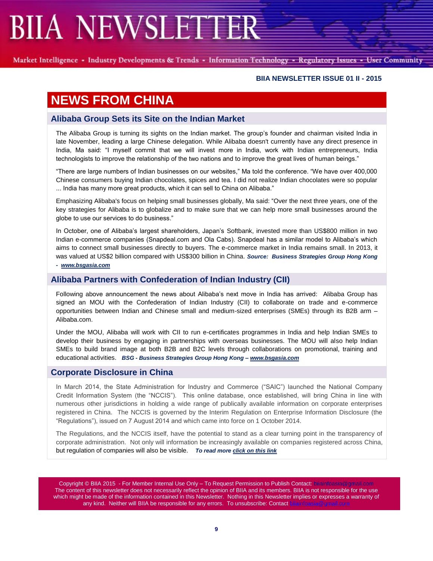Market Intelligence - Industry Developments & Trends - Information Technology - Regulatory Issues - User Community

#### **BIIA NEWSLETTER ISSUE 01 II - 2015**

## **NEWS FROM CHINA**

### **Alibaba Group Sets its Site on the Indian Market**

The Alibaba Group is turning its sights on the Indian market. The group's founder and chairman visited India in late November, leading a large Chinese delegation. While Alibaba doesn't currently have any direct presence in India, Ma said: "I myself commit that we will invest more in India, work with Indian entrepreneurs, India technologists to improve the relationship of the two nations and to improve the great lives of human beings."

"There are large numbers of Indian businesses on our websites," Ma told the conference. "We have over 400,000 Chinese consumers buying Indian chocolates, spices and tea. I did not realize Indian chocolates were so popular ... India has many more great products, which it can sell to China on Alibaba."

Emphasizing Alibaba's focus on helping small businesses globally, Ma said: "Over the next three years, one of the key strategies for Alibaba is to globalize and to make sure that we can help more small businesses around the globe to use our services to do business."

In October, one of Alibaba's largest shareholders, Japan's Softbank, invested more than US\$800 million in two Indian e-commerce companies (Snapdeal.com and Ola Cabs). Snapdeal has a similar model to Alibaba's which aims to connect small businesses directly to buyers. The e-commerce market in India remains small. In 2013, it was valued at US\$2 billion compared with US\$300 billion in China. *Source: Business Strategies Group Hong Kong - [www.bsgasia.com](http://www.bsgasia.com/)*

## **Alibaba Partners with Confederation of Indian Industry (CII)**

Following above announcement the news about Alibaba's next move in India has arrived: Alibaba Group has signed an MOU with the Confederation of Indian Industry (CII) to collaborate on trade and e-commerce opportunities between Indian and Chinese small and medium-sized enterprises (SMEs) through its B2B arm – Alibaba.com.

Under the MOU, Alibaba will work with CII to run e-certificates programmes in India and help Indian SMEs to develop their business by engaging in partnerships with overseas businesses. The MOU will also help Indian SMEs to build brand image at both B2B and B2C levels through collaborations on promotional, training and educational activities. *BSG - Business Strategies Group Hong Kong – [www.bsgasia.com](http://www.bsgasia.com/)*

#### **Corporate Disclosure in China**

In March 2014, the State Administration for Industry and Commerce ("SAIC") launched the National Company Credit Information System (the "NCCIS"). This online database, once established, will bring China in line with numerous other jurisdictions in holding a wide range of publically available information on corporate enterprises registered in China. The NCCIS is governed by the Interim Regulation on Enterprise Information Disclosure (the "Regulations"), issued on 7 August 2014 and which came into force on 1 October 2014.

The Regulations, and the NCCIS itself, have the potential to stand as a clear turning point in the transparency of corporate administration. Not only will information be increasingly available on companies registered across China, but regulation of companies will also be visible. *To read mor[e click on this link](http://www.biia.com/corporate-disclosure-in-china)*

Copyright © BIIA 2015 - For Member Internal Use Only – To Request Permission to Publish Contact: biiainfoasia The content of this newsletter does not necessarily reflect the opinion of BIIA and its members. BIIA is not responsible for the use which might be made of the information contained in this Newsletter. Nothing in this Newsletter implies or expresses a warranty of any kind. Neither will BIIA be responsible for any errors. To unsubscribe: Contact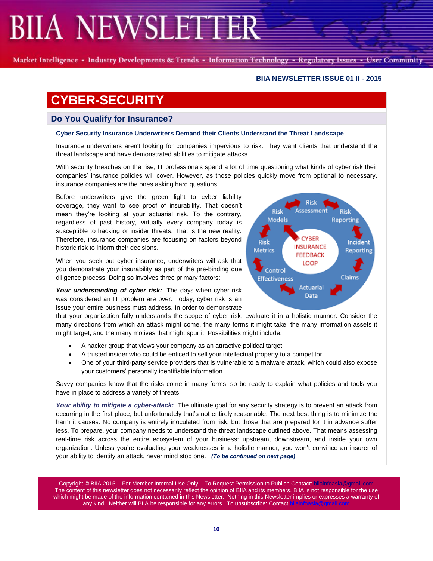Market Intelligence - Industry Developments & Trends - Information Technology - Regulatory Issues - User Community

### **BIIA NEWSLETTER ISSUE 01 II - 2015**

# **CYBER-SECURITY**

## **Do You Qualify for Insurance?**

### **Cyber Security Insurance Underwriters Demand their Clients Understand the Threat Landscape**

Insurance underwriters aren't looking for companies impervious to risk. They want clients that understand the threat landscape and have demonstrated abilities to mitigate attacks.

With security breaches on the rise, IT professionals spend a lot of time questioning what kinds of cyber risk their companies' insurance policies will cover. However, as those policies quickly move from optional to necessary, insurance companies are the ones asking hard questions.

Before underwriters give the green light to cyber liability coverage, they want to see proof of insurability. That doesn't mean they're looking at your actuarial risk. To the contrary, regardless of past history, virtually every company today is susceptible to hacking or insider threats. That is the new reality. Therefore, insurance companies are focusing on factors beyond historic risk to inform their decisions.

When you seek out cyber insurance, underwriters will ask that you demonstrate your insurability as part of the pre-binding due diligence process. Doing so involves three primary factors:

Your understanding of cyber risk: The days when cyber risk was considered an IT problem are over. Today, cyber risk is an issue your entire business must address. In order to demonstrate

that your organization fully understands the scope of cyber risk, evaluate it in a holistic manner. Consider the many directions from which an attack might come, the many forms it might take, the many information assets it might target, and the many motives that might spur it. Possibilities might include:

- A hacker group that views your company as an attractive political target
- A trusted insider who could be enticed to sell your intellectual property to a competitor
- One of your third-party service providers that is vulnerable to a malware attack, which could also expose your customers' personally identifiable information

Savvy companies know that the risks come in many forms, so be ready to explain what policies and tools you have in place to address a variety of threats.

*Your ability to mitigate a cyber-attack:* The ultimate goal for any security strategy is to prevent an attack from occurring in the first place, but unfortunately that's not entirely reasonable. The next best thing is to minimize the harm it causes. No company is entirely inoculated from risk, but those that are prepared for it in advance suffer less. To prepare, your company needs to understand the threat landscape outlined above. That means assessing real-time risk across the entire ecosystem of your business: upstream, downstream, and inside your own organization. Unless you're evaluating your weaknesses in a holistic manner, you won't convince an insurer of your ability to identify an attack, never mind stop one. *(To be continued on next page)*

Copyright © BIIA 2015 - For Member Internal Use Only – To Request Permission to Publish Contact: bija The content of this newsletter does not necessarily reflect the opinion of BIIA and its members. BIIA is not responsible for the use which might be made of the information contained in this Newsletter. Nothing in this Newsletter implies or expresses a warranty of any kind. Neither will BIIA be responsible for any errors. To unsubscribe: Contact

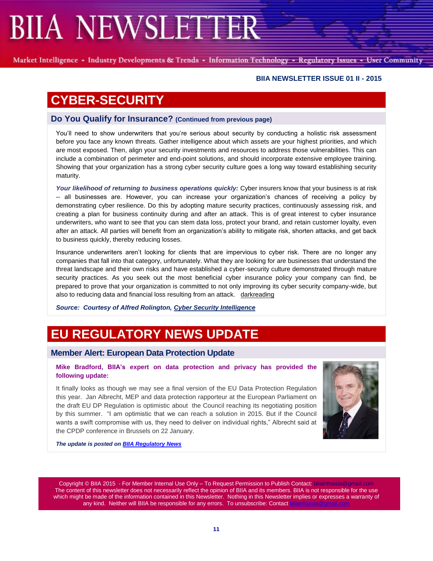Market Intelligence - Industry Developments & Trends - Information Technology - Regulatory Issues - User Community

#### **BIIA NEWSLETTER ISSUE 01 II - 2015**

## **CYBER-SECURITY**

#### **Do You Qualify for Insurance? (Continued from previous page)**

You'll need to show underwriters that you're serious about security by conducting a holistic risk assessment before you face any known threats. Gather intelligence about which assets are your highest priorities, and which are most exposed. Then, align your security investments and resources to address those vulnerabilities. This can include a combination of perimeter and end-point solutions, and should incorporate extensive employee training. Showing that your organization has a strong cyber security culture goes a long way toward establishing security maturity.

*Your likelihood of returning to business operations quickly:* Cyber insurers know that your business is at risk -- all businesses are. However, you can increase your organization's chances of receiving a policy by demonstrating cyber resilience. Do this by adopting mature security practices, continuously assessing risk, and creating a plan for business continuity during and after an attack. This is of great interest to cyber insurance underwriters, who want to see that you can stem data loss, protect your brand, and retain customer loyalty, even after an attack. All parties will benefit from an organization's ability to mitigate risk, shorten attacks, and get back to business quickly, thereby reducing losses.

Insurance underwriters aren't looking for clients that are impervious to cyber risk. There are no longer any companies that fall into that category, unfortunately. What they are looking for are businesses that understand the threat landscape and their own risks and have established a cyber-security culture demonstrated through mature security practices. As you seek out the most beneficial cyber insurance policy your company can find, be prepared to prove that your organization is committed to not only improving its cyber security company-wide, but also to reducing data and financial loss resulting from an attack. [darkreading](http://cybersecurity-intelligence.us3.list-manage1.com/track/click?u=a7a85ac110ceb74440637343f&id=ac2b159a9d&e=ceedf057fa)

*Source: Courtesy of Alfred Rolington[, Cyber Security Intelligence](http://www.cybersecurity-intelligence.com/csi/)*

## **EU REGULATORY NEWS UPDATE**

#### **Member Alert: European Data Protection Update**

#### **Mike Bradford, BIIA's expert on data protection and privacy has provided the following update:**

It finally looks as though we may see a final version of the EU Data Protection Regulation this year. Jan Albrecht, MEP and data protection rapporteur at the European Parliament on the draft EU DP Regulation is optimistic about the Council reaching its negotiating position by this summer. "I am optimistic that we can reach a solution in 2015. But if the Council wants a swift compromise with us, they need to deliver on individual rights," Albrecht said at the CPDP conference in Brussels on 22 January.



*The update is posted o[n BIIA Regulatory News](http://www.biia.com/category/regulatory-news)*

Copyright © BIIA 2015 - For Member Internal Use Only - To Request Permission to Publish Contact: bilainfoasia The content of this newsletter does not necessarily reflect the opinion of BIIA and its members. BIIA is not responsible for the use which might be made of the information contained in this Newsletter. Nothing in this Newsletter implies or expresses a warranty of any kind. Neither will BIIA be responsible for any errors. To unsubscribe: Contact